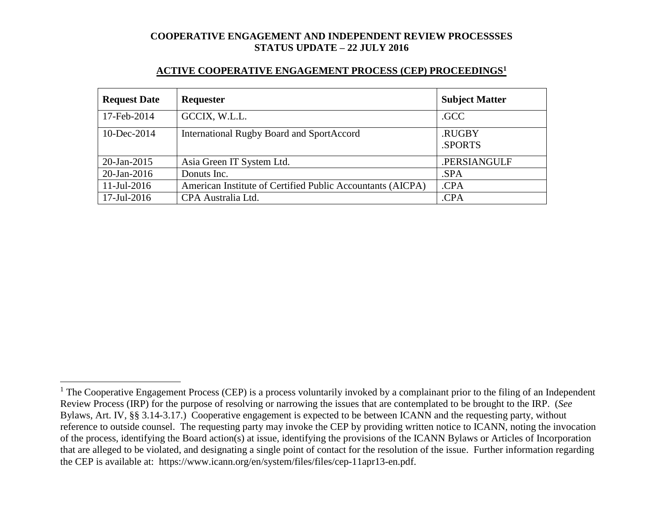| <b>Request Date</b> | Requester                                                  | <b>Subject Matter</b> |
|---------------------|------------------------------------------------------------|-----------------------|
| 17-Feb-2014         | GCCIX, W.L.L.                                              | .GCC                  |
| $10$ -Dec-2014      | International Rugby Board and SportAccord                  | .RUGBY                |
|                     |                                                            | <b>SPORTS</b>         |
| $20$ -Jan-2015      | Asia Green IT System Ltd.                                  | .PERSIANGULF          |
| $20$ -Jan-2016      | Donuts Inc.                                                | .SPA                  |
| $11$ -Jul-2016      | American Institute of Certified Public Accountants (AICPA) | .CPA                  |
| 17-Jul-2016         | CPA Australia Ltd.                                         | .CPA                  |

#### **ACTIVE COOPERATIVE ENGAGEMENT PROCESS (CEP) PROCEEDINGS<sup>1</sup>**

 $1$  The Cooperative Engagement Process (CEP) is a process voluntarily invoked by a complainant prior to the filing of an Independent Review Process (IRP) for the purpose of resolving or narrowing the issues that are contemplated to be brought to the IRP. (*See* Bylaws, Art. IV, §§ 3.14-3.17.) Cooperative engagement is expected to be between ICANN and the requesting party, without reference to outside counsel. The requesting party may invoke the CEP by providing written notice to ICANN, noting the invocation of the process, identifying the Board action(s) at issue, identifying the provisions of the ICANN Bylaws or Articles of Incorporation that are alleged to be violated, and designating a single point of contact for the resolution of the issue. Further information regarding the CEP is available at: https://www.icann.org/en/system/files/files/cep-11apr13-en.pdf.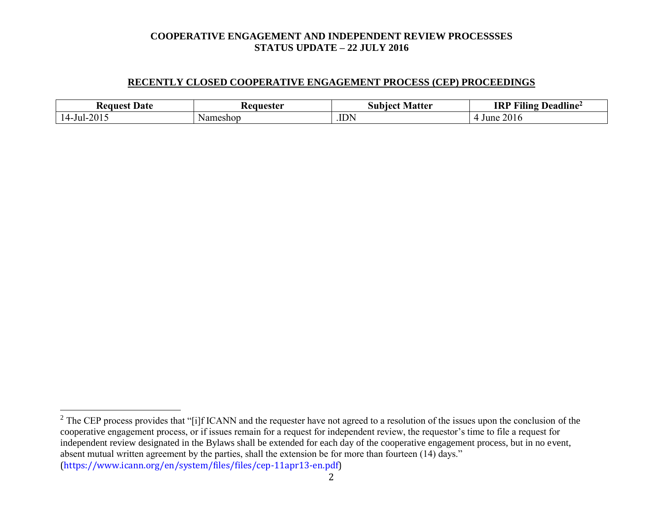#### **RECENTLY CLOSED COOPERATIVE ENGAGEMENT PROCESS (CEP) PROCEEDINGS**

| Date<br>Request    | aanastar /<br>55 L.U. | . Matter<br>10et<br>Sur<br>uw | $\mathbf{u}$<br>$\blacksquare$<br><b>IRI</b><br>Deadline <del>′</del><br>-iling |
|--------------------|-----------------------|-------------------------------|---------------------------------------------------------------------------------|
| 2015<br>.<br>∍ul−′ | neshop<br>Na          | .IDN                          | 201c<br>June                                                                    |

 $2^2$  The CEP process provides that "[i]f ICANN and the requester have not agreed to a resolution of the issues upon the conclusion of the cooperative engagement process, or if issues remain for a request for independent review, the requestor's time to file a request for independent review designated in the Bylaws shall be extended for each day of the cooperative engagement process, but in no event, absent mutual written agreement by the parties, shall the extension be for more than fourteen (14) days." (https://www.icann.org/en/system/files/files/cep-11apr13-en.pdf)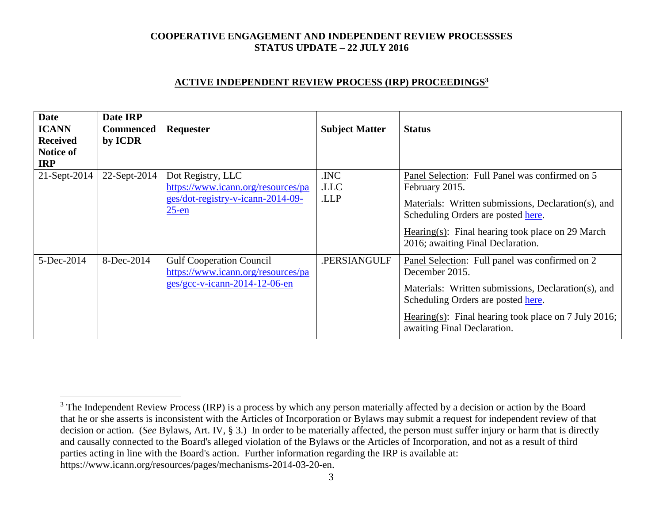### **ACTIVE INDEPENDENT REVIEW PROCESS (IRP) PROCEEDINGS<sup>3</sup>**

| <b>Date</b><br><b>ICANN</b><br><b>Received</b><br>Notice of<br><b>IRP</b> | Date IRP<br><b>Commenced</b><br>by ICDR | <b>Requester</b>                                                                                         | <b>Subject Matter</b> | <b>Status</b>                                                                                                                                                                                                                                                    |
|---------------------------------------------------------------------------|-----------------------------------------|----------------------------------------------------------------------------------------------------------|-----------------------|------------------------------------------------------------------------------------------------------------------------------------------------------------------------------------------------------------------------------------------------------------------|
| 21-Sept-2014                                                              | 22-Sept-2014                            | Dot Registry, LLC<br>https://www.icann.org/resources/pa<br>ges/dot-registry-v-icann-2014-09-<br>$25$ -en | .INC<br>.LLC<br>.LLP  | Panel Selection: Full Panel was confirmed on 5<br>February 2015.<br>Materials: Written submissions, Declaration(s), and<br>Scheduling Orders are posted here.<br>Hearing(s): Final hearing took place on 29 March<br>2016; awaiting Final Declaration.           |
| 5-Dec-2014                                                                | 8-Dec-2014                              | <b>Gulf Cooperation Council</b><br>https://www.icann.org/resources/pa<br>$ges/gcc-v-icann-2014-12-06-en$ | .PERSIANGULF          | Panel Selection: Full panel was confirmed on 2<br>December 2015.<br>Materials: Written submissions, Declaration(s), and<br>Scheduling Orders are posted here.<br>Hearing(s): Final hearing took place on $7 \text{ July } 2016$ ;<br>awaiting Final Declaration. |

<sup>&</sup>lt;sup>3</sup> The Independent Review Process (IRP) is a process by which any person materially affected by a decision or action by the Board that he or she asserts is inconsistent with the Articles of Incorporation or Bylaws may submit a request for independent review of that decision or action. (*See* Bylaws, Art. IV, § 3.) In order to be materially affected, the person must suffer injury or harm that is directly and causally connected to the Board's alleged violation of the Bylaws or the Articles of Incorporation, and not as a result of third parties acting in line with the Board's action. Further information regarding the IRP is available at: https://www.icann.org/resources/pages/mechanisms-2014-03-20-en.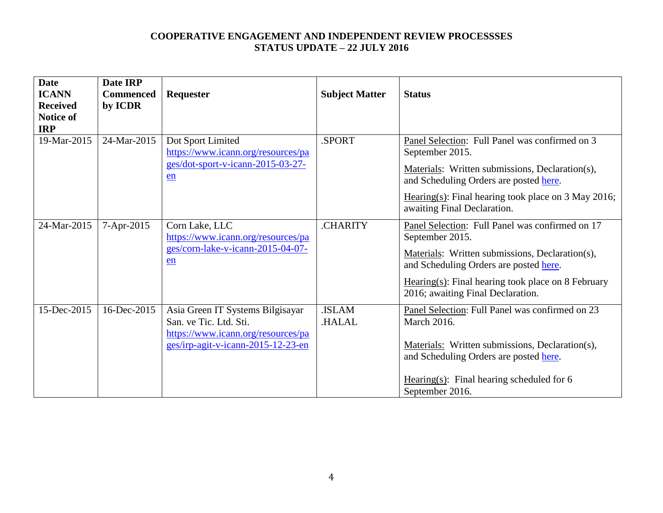| <b>Date</b><br><b>ICANN</b><br><b>Received</b><br>Notice of<br><b>IRP</b> | Date IRP<br><b>Commenced</b><br>by ICDR | Requester                                                                                                                              | <b>Subject Matter</b>  | <b>Status</b>                                                                                                                                                                                                                                                 |
|---------------------------------------------------------------------------|-----------------------------------------|----------------------------------------------------------------------------------------------------------------------------------------|------------------------|---------------------------------------------------------------------------------------------------------------------------------------------------------------------------------------------------------------------------------------------------------------|
| 19-Mar-2015                                                               | 24-Mar-2015                             | Dot Sport Limited<br>https://www.icann.org/resources/pa<br>ges/dot-sport-v-icann-2015-03-27-<br>en                                     | .SPORT                 | Panel Selection: Full Panel was confirmed on 3<br>September 2015.<br>Materials: Written submissions, Declaration(s),<br>and Scheduling Orders are posted here.<br>Hearing(s): Final hearing took place on $3$ May 2016;<br>awaiting Final Declaration.        |
| 24-Mar-2015                                                               | 7-Apr-2015                              | Corn Lake, LLC<br>https://www.icann.org/resources/pa<br>ges/corn-lake-v-icann-2015-04-07-<br>en                                        | .CHARITY               | Panel Selection: Full Panel was confirmed on 17<br>September 2015.<br>Materials: Written submissions, Declaration(s),<br>and Scheduling Orders are posted here.<br>$Hearing(s)$ : Final hearing took place on 8 February<br>2016; awaiting Final Declaration. |
| 15-Dec-2015                                                               | 16-Dec-2015                             | Asia Green IT Systems Bilgisayar<br>San. ve Tic. Ltd. Sti.<br>https://www.icann.org/resources/pa<br>ges/irp-agit-v-icann-2015-12-23-en | .ISLAM<br><b>HALAL</b> | Panel Selection: Full Panel was confirmed on 23<br><b>March 2016.</b><br>Materials: Written submissions, Declaration(s),<br>and Scheduling Orders are posted here.<br>Hearing(s): Final hearing scheduled for $6$<br>September 2016.                          |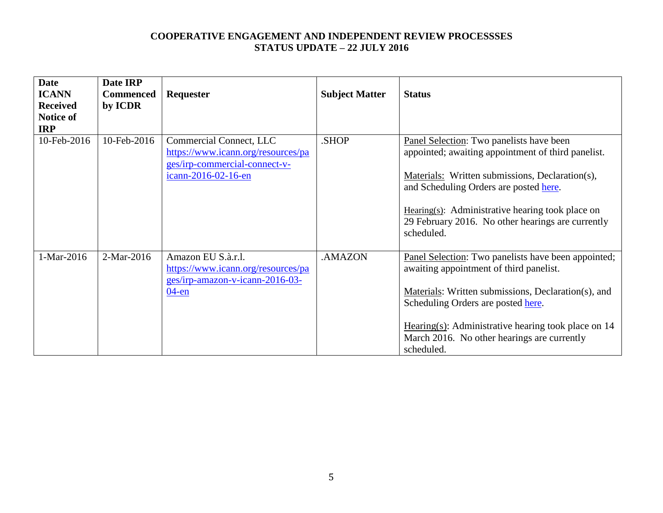| <b>Date</b>     | Date IRP         |                                    |                       |                                                       |
|-----------------|------------------|------------------------------------|-----------------------|-------------------------------------------------------|
| <b>ICANN</b>    | <b>Commenced</b> | <b>Requester</b>                   | <b>Subject Matter</b> | <b>Status</b>                                         |
| <b>Received</b> | by ICDR          |                                    |                       |                                                       |
| Notice of       |                  |                                    |                       |                                                       |
| <b>IRP</b>      |                  |                                    |                       |                                                       |
| 10-Feb-2016     | 10-Feb-2016      | Commercial Connect, LLC            | .SHOP                 | Panel Selection: Two panelists have been              |
|                 |                  | https://www.icann.org/resources/pa |                       | appointed; awaiting appointment of third panelist.    |
|                 |                  | ges/irp-commercial-connect-v-      |                       |                                                       |
|                 |                  | icann-2016-02-16-en                |                       | Materials: Written submissions, Declaration(s),       |
|                 |                  |                                    |                       | and Scheduling Orders are posted here.                |
|                 |                  |                                    |                       |                                                       |
|                 |                  |                                    |                       | Hearing(s): Administrative hearing took place on      |
|                 |                  |                                    |                       | 29 February 2016. No other hearings are currently     |
|                 |                  |                                    |                       | scheduled.                                            |
|                 |                  |                                    |                       |                                                       |
| 1-Mar-2016      | 2-Mar-2016       | Amazon EU S.à.r.l.                 | .AMAZON               | Panel Selection: Two panelists have been appointed;   |
|                 |                  | https://www.icann.org/resources/pa |                       | awaiting appointment of third panelist.               |
|                 |                  | ges/irp-amazon-v-icann-2016-03-    |                       |                                                       |
|                 |                  | $04$ -en                           |                       | Materials: Written submissions, Declaration(s), and   |
|                 |                  |                                    |                       | Scheduling Orders are posted here.                    |
|                 |                  |                                    |                       |                                                       |
|                 |                  |                                    |                       | Hearing(s): Administrative hearing took place on $14$ |
|                 |                  |                                    |                       | March 2016. No other hearings are currently           |
|                 |                  |                                    |                       | scheduled.                                            |